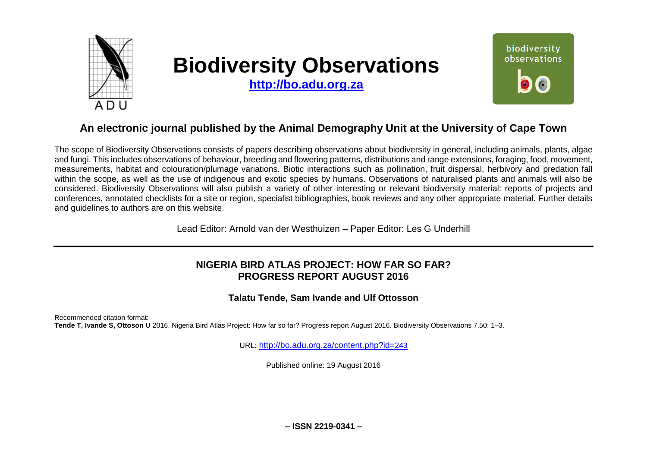

# **Biodiversity Observations**

**[http://bo.adu.org.za](http://bo.adu.org.za/)**



## **An electronic journal published by the Animal Demography Unit at the University of Cape Town**

The scope of Biodiversity Observations consists of papers describing observations about biodiversity in general, including animals, plants, algae and fungi. This includes observations of behaviour, breeding and flowering patterns, distributions and range extensions, foraging, food, movement, measurements, habitat and colouration/plumage variations. Biotic interactions such as pollination, fruit dispersal, herbivory and predation fall within the scope, as well as the use of indigenous and exotic species by humans. Observations of naturalised plants and animals will also be considered. Biodiversity Observations will also publish a variety of other interesting or relevant biodiversity material: reports of projects and conferences, annotated checklists for a site or region, specialist bibliographies, book reviews and any other appropriate material. Further details and guidelines to authors are on this website.

Lead Editor: Arnold van der Westhuizen – Paper Editor: Les G Underhill

## **NIGERIA BIRD ATLAS PROJECT: HOW FAR SO FAR? PROGRESS REPORT AUGUST 2016**

**Talatu Tende, Sam Ivande and Ulf Ottosson**

Recommended citation format: **Tende T, Ivande S, Ottoson U** 2016. Nigeria Bird Atlas Project: How far so far? Progress report August 2016. Biodiversity Observations 7.50: 1–3.

URL: [http://bo.adu.org.za/content.php?id=](http://bo.adu.org.za/content.php?id=243)243

Published online: 19 August 2016

**– ISSN 2219-0341 –**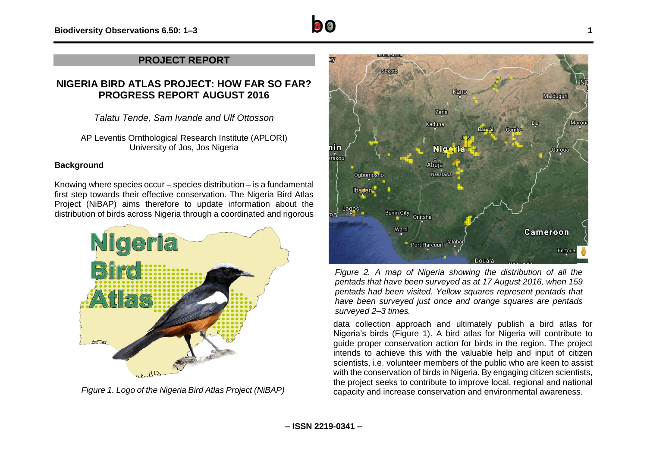

### **NIGERIA BIRD ATLAS PROJECT: HOW FAR SO FAR? PROGRESS REPORT AUGUST 2016**

*Talatu Tende, Sam Ivande and Ulf Ottosson*

AP Leventis Ornthological Research Institute (APLORI) University of Jos, Jos Nigeria

#### **Background**

Knowing where species occur – species distribution – is a fundamental first step towards their effective conservation. The Nigeria Bird Atlas Project (NiBAP) aims therefore to update information about the distribution of birds across Nigeria through a coordinated and rigorous



*Figure 1. Logo of the Nigeria Bird Atlas Project (NiBAP)*



*Figure 2. A map of Nigeria showing the distribution of all the pentads that have been surveyed as at 17 August 2016, when 159 pentads had been visited. Yellow squares represent pentads that have been surveyed just once and orange squares are pentads surveyed 2–3 times.*

data collection approach and ultimately publish a bird atlas for Nigeria's birds (Figure 1). A bird atlas for Nigeria will contribute to guide proper conservation action for birds in the region. The project intends to achieve this with the valuable help and input of citizen scientists, i.e. volunteer members of the public who are keen to assist with the conservation of birds in Nigeria. By engaging citizen scientists, the project seeks to contribute to improve local, regional and national capacity and increase conservation and environmental awareness.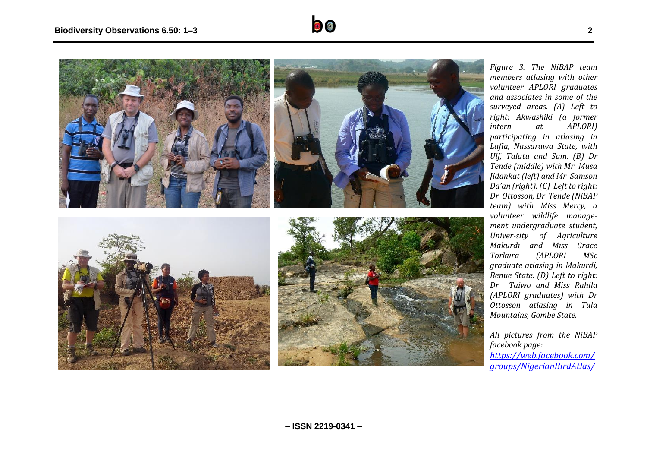



*Figure 3 . The NiBAP team members atlasing with other volunteer APLORI graduates and associates in some of the surveyed areas. (A) Left to right: Akwashiki (a former intern at APLORI) participating in atlasing in Lafia, Nassarawa State, with Ulf, Talatu and Sam. (B) Dr Tende (middle) with Mr Musa Jidankat (left) and Mr Samson Da'an (right). (C) Left to right: Dr Ottosson, Dr Tende (NiBAP team) with Miss Mercy, a volunteer wildlife manage ment undergraduate student, Univer -sity of Agriculture Makurdi and Miss Grace Torkura (APLORI MSc graduate atlasing in Makurdi, Benue State. (D) Left to right: Dr Taiwo and Miss Rahila (APLORI graduates) with Dr Ottosson atlasing in Tula Mountains, Gombe State.* 

*All pictures from the NiBAP facebook page: [https://web.facebook.com/](https://web.facebook.com/groups/NigerianBirdAtlas/) [groups/NigerianBirdAtlas/](https://web.facebook.com/groups/NigerianBirdAtlas/)*